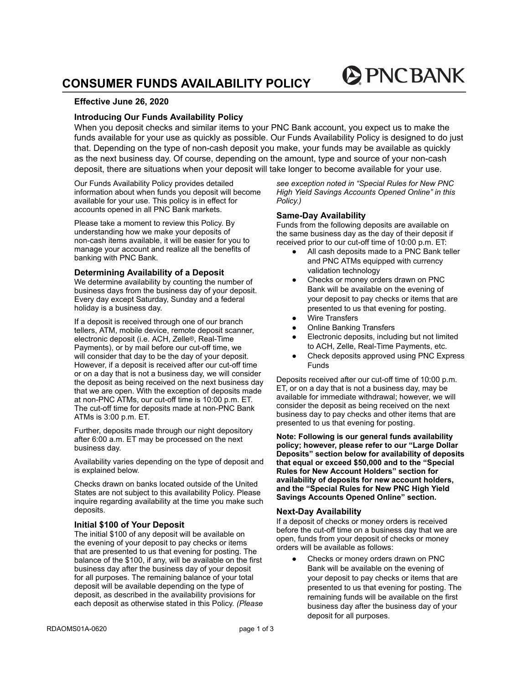# **CONSUMER FUNDS AVAILABILITY POLICY**

# **Effective June 26, 2020**

# **Introducing Our Funds Availability Policy**

When you deposit checks and similar items to your PNC Bank account, you expect us to make the funds available for your use as quickly as possible. Our Funds Availability Policy is designed to do just that. Depending on the type of non-cash deposit you make, your funds may be available as quickly as the next business day. Of course, depending on the amount, type and source of your non-cash deposit, there are situations when your deposit will take longer to become available for your use.

Our Funds Availability Policy provides detailed information about when funds you deposit will become available for your use. This policy is in effect for accounts opened in all PNC Bank markets.

Please take a moment to review this Policy. By understanding how we make your deposits of non-cash items available, it will be easier for you to manage your account and realize all the benefits of banking with PNC Bank.

#### **Determining Availability of a Deposit**

We determine availability by counting the number of business days from the business day of your deposit. Every day except Saturday, Sunday and a federal holiday is a business day.

If a deposit is received through one of our branch tellers, ATM, mobile device, remote deposit scanner, electronic deposit (i.e. ACH, Zelle®, Real-Time Payments), or by mail before our cut-off time, we will consider that day to be the day of your deposit. However, if a deposit is received after our cut-off time or on a day that is not a business day, we will consider the deposit as being received on the next business day that we are open. With the exception of deposits made at non-PNC ATMs, our cut-off time is 10:00 p.m. ET. The cut-off time for deposits made at non-PNC Bank ATMs is 3:00 p.m. ET.

Further, deposits made through our night depository after 6:00 a.m. ET may be processed on the next business day.

Availability varies depending on the type of deposit and is explained below.

Checks drawn on banks located outside of the United States are not subject to this availability Policy. Please inquire regarding availability at the time you make such deposits.

## **Initial \$100 of Your Deposit**

The initial \$100 of any deposit will be available on the evening of your deposit to pay checks or items that are presented to us that evening for posting. The balance of the \$100, if any, will be available on the first business day after the business day of your deposit for all purposes. The remaining balance of your total deposit will be available depending on the type of deposit, as described in the availability provisions for each deposit as otherwise stated in this Policy. *(Please* *see exception noted in "Special Rules for New PNC High Yield Savings Accounts Opened Online" in this Policy.)*

**PINCBANK** 

## **Same-Day Availability**

Funds from the following deposits are available on the same business day as the day of their deposit if received prior to our cut-off time of 10:00 p.m. ET:

- All cash deposits made to a PNC Bank teller and PNC ATMs equipped with currency validation technology
- Checks or money orders drawn on PNC Bank will be available on the evening of your deposit to pay checks or items that are presented to us that evening for posting.
- Wire Transfers
- **Online Banking Transfers**
- Electronic deposits, including but not limited to ACH, Zelle, Real-Time Payments, etc.
- Check deposits approved using PNC Express Funds

Deposits received after our cut-off time of 10:00 p.m. ET, or on a day that is not a business day, may be available for immediate withdrawal; however, we will consider the deposit as being received on the next business day to pay checks and other items that are presented to us that evening for posting.

**Note: Following is our general funds availability policy; however, please refer to our "Large Dollar Deposits" section below for availability of deposits that equal or exceed \$50,000 and to the "Special Rules for New Account Holders" section for availability of deposits for new account holders, and the "Special Rules for New PNC High Yield Savings Accounts Opened Online" section.**

# **Next-Day Availability**

If a deposit of checks or money orders is received before the cut-off time on a business day that we are open, funds from your deposit of checks or money orders will be available as follows:

Checks or money orders drawn on PNC Bank will be available on the evening of your deposit to pay checks or items that are presented to us that evening for posting. The remaining funds will be available on the first business day after the business day of your deposit for all purposes.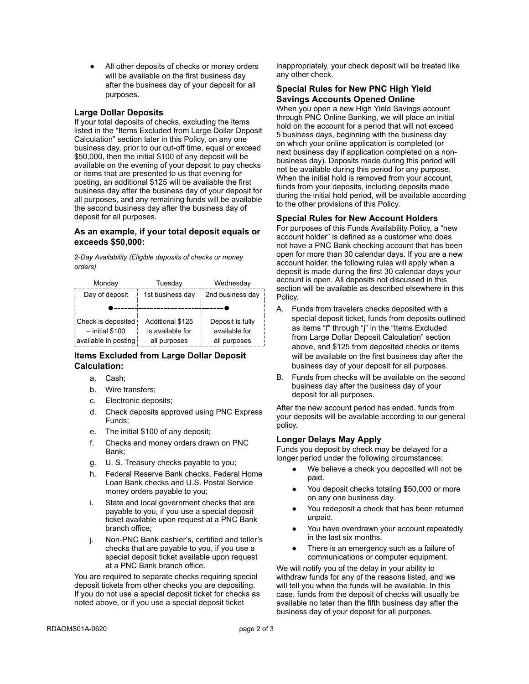All other deposits of checks or money orders will be available on the first business day after the business day of your deposit for all purposes.

## **Large Dollar Deposits**

If your total deposits of checks, excluding the items listed in the "Items Excluded from Large Dollar Deposit Calculation" section later in this Policy, on any one business day, prior to our cut-off time, equal or exceed \$50,000, then the initial \$100 of any deposit will be available on the evening of your deposit to pay checks or items that are presented to us that evening for posting, an additional \$125 will be available the first business day after the business day of your deposit for all purposes, and any remaining funds will be available the second business day after the business day of deposit for all purposes.

## **As an example, if your total deposit equals or exceeds \$50,000:**

*2-Day Availability (Eligible deposits of checks or money orders)*



## **Items Excluded from Large Dollar Deposit Calculation:**

- a. Cash;
- b. Wire transfers;
- c. Electronic deposits;
- d. Check deposits approved using PNC Express Funds;
- e. The initial \$100 of any deposit;
- f. Checks and money orders drawn on PNC Bank;
- g. U. S. Treasury checks payable to you;
- h. Federal Reserve Bank checks, Federal Home Loan Bank checks and U.S. Postal Service money orders payable to you;
- i. State and local government checks that are payable to you, if you use a special deposit ticket available upon request at a PNC Bank branch office;
- j. Non-PNC Bank cashier's, certified and teller's checks that are payable to you, if you use a special deposit ticket available upon request at a PNC Bank branch office.

You are required to separate checks requiring special deposit tickets from other checks you are depositing. If you do not use a special deposit ticket for checks as noted above, or if you use a special deposit ticket

inappropriately, your check deposit will be treated like any other check.

# **Special Rules for New PNC High Yield Savings Accounts Opened Online**

When you open a new High Yield Savings account through PNC Online Banking, we will place an initial hold on the account for a period that will not exceed 5 business days, beginning with the business day on which your online application is completed (or next business day if application completed on a nonbusiness day). Deposits made during this period will not be available during this period for any purpose. When the initial hold is removed from your account. funds from your deposits, including deposits made during the initial hold period, will be available according to the other provisions of this Policy.

## **Special Rules for New Account Holders**

For purposes of this Funds Availability Policy, a "new account holder" is defined as a customer who does not have a PNC Bank checking account that has been open for more than 30 calendar days. If you are a new account holder, the following rules will apply when a deposit is made during the first 30 calendar days your account is open. All deposits not discussed in this section will be available as described elsewhere in this Policy.

- A. Funds from travelers checks deposited with a special deposit ticket, funds from deposits outlined as items "f" through "j" in the "Items Excluded from Large Dollar Deposit Calculation" section above, and \$125 from deposited checks or items will be available on the first business day after the business day of your deposit for all purposes.
- B. Funds from checks will be available on the second business day after the business day of your deposit for all purposes.

After the new account period has ended, funds from your deposits will be available according to our general policy.

# **Longer Delays May Apply**

Funds you deposit by check may be delayed for a longer period under the following circumstances:

- We believe a check you deposited will not be paid.
- You deposit checks totaling \$50,000 or more on any one business day.
- You redeposit a check that has been returned unpaid.
- You have overdrawn your account repeatedly in the last six months.
- There is an emergency such as a failure of communications or computer equipment.

We will notify you of the delay in your ability to withdraw funds for any of the reasons listed, and we will tell you when the funds will be available. In this case, funds from the deposit of checks will usually be available no later than the fifth business day after the business day of your deposit for all purposes.